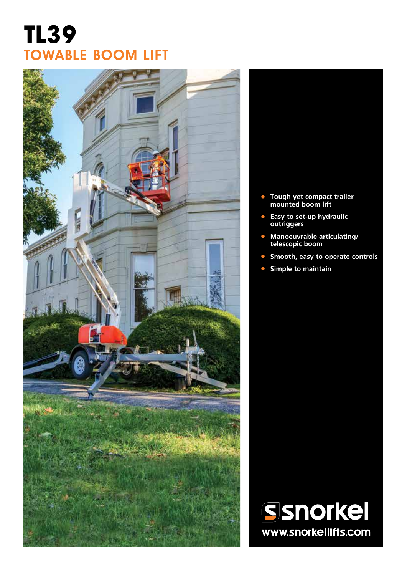# **TL39** TOWABLE BOOM LIFT



- **• Tough yet compact trailer mounted boom lift**
- **• Easy to set-up hydraulic outriggers**
- **• Manoeuvrable articulating/ telescopic boom**
- **• Smooth, easy to operate controls**
- **• Simple to maintain**